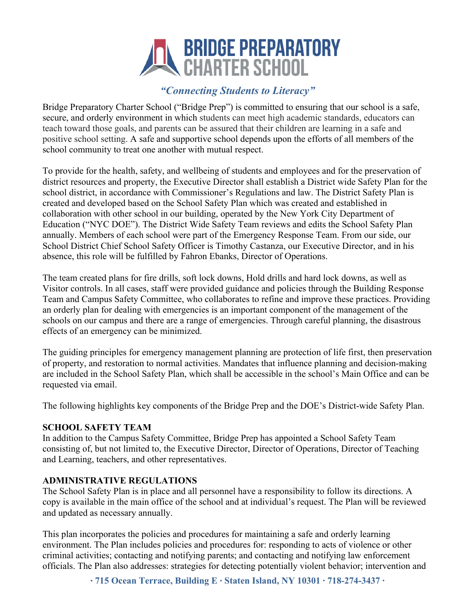# **ENDGE PREPARATORY**<br>CHARTER SCHOOL

# *"Connecting Students to Literacy"*

Bridge Preparatory Charter School ("Bridge Prep") is committed to ensuring that our school is a safe, secure, and orderly environment in which students can meet high academic standards, educators can teach toward those goals, and parents can be assured that their children are learning in a safe and positive school setting. A safe and supportive school depends upon the efforts of all members of the school community to treat one another with mutual respect.

To provide for the health, safety, and wellbeing of students and employees and for the preservation of district resources and property, the Executive Director shall establish a District wide Safety Plan for the school district, in accordance with Commissioner's Regulations and law. The District Safety Plan is created and developed based on the School Safety Plan which was created and established in collaboration with other school in our building, operated by the New York City Department of Education ("NYC DOE"). The District Wide Safety Team reviews and edits the School Safety Plan annually. Members of each school were part of the Emergency Response Team. From our side, our School District Chief School Safety Officer is Timothy Castanza, our Executive Director, and in his absence, this role will be fulfilled by Fahron Ebanks, Director of Operations.

The team created plans for fire drills, soft lock downs, Hold drills and hard lock downs, as well as Visitor controls. In all cases, staff were provided guidance and policies through the Building Response Team and Campus Safety Committee, who collaborates to refine and improve these practices. Providing an orderly plan for dealing with emergencies is an important component of the management of the schools on our campus and there are a range of emergencies. Through careful planning, the disastrous effects of an emergency can be minimized.

The guiding principles for emergency management planning are protection of life first, then preservation of property, and restoration to normal activities. Mandates that influence planning and decision-making are included in the School Safety Plan, which shall be accessible in the school's Main Office and can be requested via email.

The following highlights key components of the Bridge Prep and the DOE's District-wide Safety Plan.

#### **SCHOOL SAFETY TEAM**

In addition to the Campus Safety Committee, Bridge Prep has appointed a School Safety Team consisting of, but not limited to, the Executive Director, Director of Operations, Director of Teaching and Learning, teachers, and other representatives.

## **ADMINISTRATIVE REGULATIONS**

The School Safety Plan is in place and all personnel have a responsibility to follow its directions. A copy is available in the main office of the school and at individual's request. The Plan will be reviewed and updated as necessary annually.

This plan incorporates the policies and procedures for maintaining a safe and orderly learning environment. The Plan includes policies and procedures for: responding to acts of violence or other criminal activities; contacting and notifying parents; and contacting and notifying law enforcement officials. The Plan also addresses: strategies for detecting potentially violent behavior; intervention and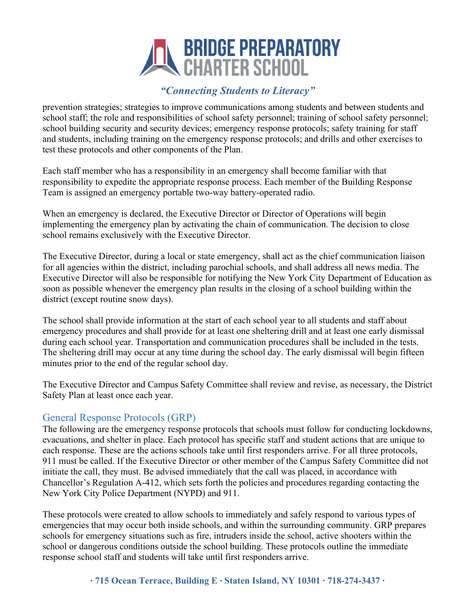# **ENDGE PREPARATORY**<br>CHARTER SCHOOL

# *"Connecting Students to Literacy"*

prevention strategies; strategies to improve communications among students and between students and school staff; the role and responsibilities of school safety personnel; training of school safety personnel; school building security and security devices; emergency response protocols; safety training for staff and students, including training on the emergency response protocols; and drills and other exercises to test these protocols and other components of the Plan.

Each staff member who has a responsibility in an emergency shall become familiar with that responsibility to expedite the appropriate response process. Each member of the Building Response Team is assigned an emergency portable two-way battery-operated radio.

When an emergency is declared, the Executive Director or Director of Operations will begin implementing the emergency plan by activating the chain of communication. The decision to close school remains exclusively with the Executive Director.

The Executive Director, during a local or state emergency, shall act as the chief communication liaison for all agencies within the district, including parochial schools, and shall address all news media. The Executive Director will also be responsible for notifying the New York City Department of Education as soon as possible whenever the emergency plan results in the closing of a school building within the district (except routine snow days).

The school shall provide information at the start of each school year to all students and staff about emergency procedures and shall provide for at least one sheltering drill and at least one early dismissal during each school year. Transportation and communication procedures shall be included in the tests. The sheltering drill may occur at any time during the school day. The early dismissal will begin fifteen minutes prior to the end of the regular school day.

The Executive Director and Campus Safety Committee shall review and revise, as necessary, the District Safety Plan at least once each year.

## General Response Protocols (GRP)

The following are the emergency response protocols that schools must follow for conducting lockdowns, evacuations, and shelter in place. Each protocol has specific staff and student actions that are unique to each response. These are the actions schools take until first responders arrive. For all three protocols, 911 must be called. If the Executive Director or other member of the Campus Safety Committee did not initiate the call, they must. Be advised immediately that the call was placed, in accordance with Chancellor's Regulation A-412, which sets forth the policies and procedures regarding contacting the New York City Police Department (NYPD) and 911.

These protocols were created to allow schools to immediately and safely respond to various types of emergencies that may occur both inside schools, and within the surrounding community. GRP prepares schools for emergency situations such as fire, intruders inside the school, active shooters within the school or dangerous conditions outside the school building. These protocols outline the immediate response school staff and students will take until first responders arrive.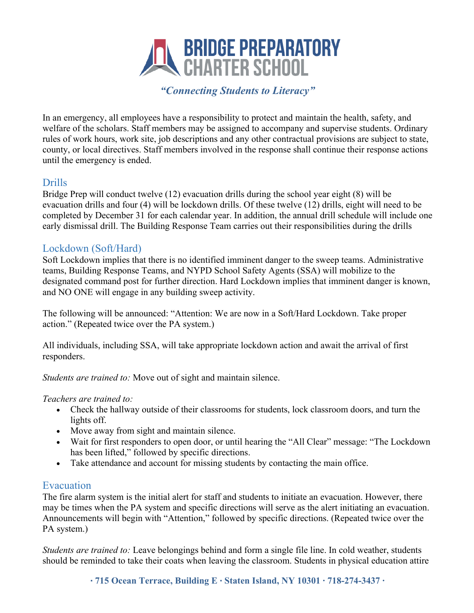

In an emergency, all employees have a responsibility to protect and maintain the health, safety, and welfare of the scholars. Staff members may be assigned to accompany and supervise students. Ordinary rules of work hours, work site, job descriptions and any other contractual provisions are subject to state, county, or local directives. Staff members involved in the response shall continue their response actions until the emergency is ended.

## Drills

Bridge Prep will conduct twelve (12) evacuation drills during the school year eight (8) will be evacuation drills and four (4) will be lockdown drills. Of these twelve (12) drills, eight will need to be completed by December 31 for each calendar year. In addition, the annual drill schedule will include one early dismissal drill. The Building Response Team carries out their responsibilities during the drills

## Lockdown (Soft/Hard)

Soft Lockdown implies that there is no identified imminent danger to the sweep teams. Administrative teams, Building Response Teams, and NYPD School Safety Agents (SSA) will mobilize to the designated command post for further direction. Hard Lockdown implies that imminent danger is known, and NO ONE will engage in any building sweep activity.

The following will be announced: "Attention: We are now in a Soft/Hard Lockdown. Take proper action." (Repeated twice over the PA system.)

All individuals, including SSA, will take appropriate lockdown action and await the arrival of first responders.

*Students are trained to:* Move out of sight and maintain silence.

#### *Teachers are trained to:*

- Check the hallway outside of their classrooms for students, lock classroom doors, and turn the lights off.
- Move away from sight and maintain silence.
- Wait for first responders to open door, or until hearing the "All Clear" message: "The Lockdown has been lifted," followed by specific directions.
- Take attendance and account for missing students by contacting the main office.

## Evacuation

The fire alarm system is the initial alert for staff and students to initiate an evacuation. However, there may be times when the PA system and specific directions will serve as the alert initiating an evacuation. Announcements will begin with "Attention," followed by specific directions. (Repeated twice over the PA system.)

*Students are trained to:* Leave belongings behind and form a single file line. In cold weather, students should be reminded to take their coats when leaving the classroom. Students in physical education attire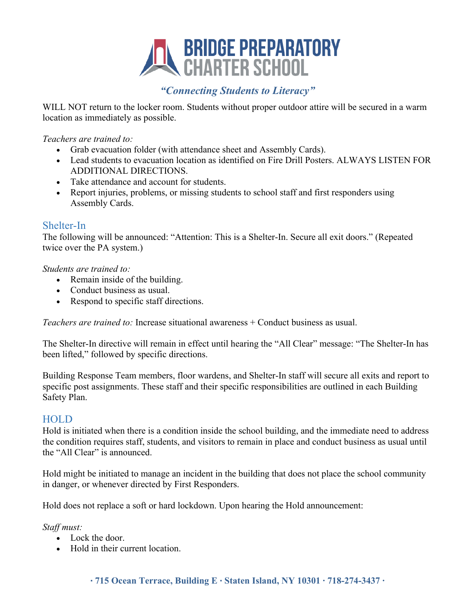

WILL NOT return to the locker room. Students without proper outdoor attire will be secured in a warm location as immediately as possible.

*Teachers are trained to:* 

- Grab evacuation folder (with attendance sheet and Assembly Cards).
- Lead students to evacuation location as identified on Fire Drill Posters. ALWAYS LISTEN FOR ADDITIONAL DIRECTIONS.
- Take attendance and account for students.
- Report injuries, problems, or missing students to school staff and first responders using Assembly Cards.

## Shelter-In

The following will be announced: "Attention: This is a Shelter-In. Secure all exit doors." (Repeated twice over the PA system.)

#### *Students are trained to:*

- Remain inside of the building.
- Conduct business as usual.
- Respond to specific staff directions.

*Teachers are trained to:* Increase situational awareness + Conduct business as usual.

The Shelter-In directive will remain in effect until hearing the "All Clear" message: "The Shelter-In has been lifted," followed by specific directions.

Building Response Team members, floor wardens, and Shelter-In staff will secure all exits and report to specific post assignments. These staff and their specific responsibilities are outlined in each Building Safety Plan.

## **HOLD**

Hold is initiated when there is a condition inside the school building, and the immediate need to address the condition requires staff, students, and visitors to remain in place and conduct business as usual until the "All Clear" is announced.

Hold might be initiated to manage an incident in the building that does not place the school community in danger, or whenever directed by First Responders.

Hold does not replace a soft or hard lockdown. Upon hearing the Hold announcement:

*Staff must:* 

- Lock the door.
- Hold in their current location.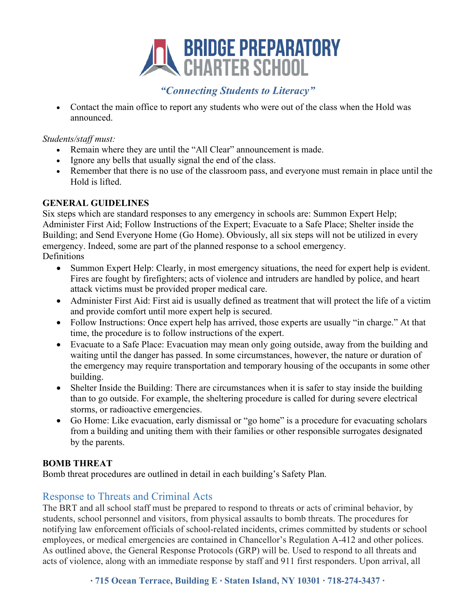

• Contact the main office to report any students who were out of the class when the Hold was announced.

*Students/staff must:* 

- Remain where they are until the "All Clear" announcement is made.
- Ignore any bells that usually signal the end of the class.
- Remember that there is no use of the classroom pass, and everyone must remain in place until the Hold is lifted.

#### **GENERAL GUIDELINES**

Six steps which are standard responses to any emergency in schools are: Summon Expert Help; Administer First Aid; Follow Instructions of the Expert; Evacuate to a Safe Place; Shelter inside the Building; and Send Everyone Home (Go Home). Obviously, all six steps will not be utilized in every emergency. Indeed, some are part of the planned response to a school emergency. Definitions

- Summon Expert Help: Clearly, in most emergency situations, the need for expert help is evident. Fires are fought by firefighters; acts of violence and intruders are handled by police, and heart attack victims must be provided proper medical care.
- Administer First Aid: First aid is usually defined as treatment that will protect the life of a victim and provide comfort until more expert help is secured.
- Follow Instructions: Once expert help has arrived, those experts are usually "in charge." At that time, the procedure is to follow instructions of the expert.
- Evacuate to a Safe Place: Evacuation may mean only going outside, away from the building and waiting until the danger has passed. In some circumstances, however, the nature or duration of the emergency may require transportation and temporary housing of the occupants in some other building.
- Shelter Inside the Building: There are circumstances when it is safer to stay inside the building than to go outside. For example, the sheltering procedure is called for during severe electrical storms, or radioactive emergencies.
- Go Home: Like evacuation, early dismissal or "go home" is a procedure for evacuating scholars from a building and uniting them with their families or other responsible surrogates designated by the parents.

## **BOMB THREAT**

Bomb threat procedures are outlined in detail in each building's Safety Plan.

## Response to Threats and Criminal Acts

The BRT and all school staff must be prepared to respond to threats or acts of criminal behavior, by students, school personnel and visitors, from physical assaults to bomb threats. The procedures for notifying law enforcement officials of school-related incidents, crimes committed by students or school employees, or medical emergencies are contained in Chancellor's Regulation A-412 and other polices. As outlined above, the General Response Protocols (GRP) will be. Used to respond to all threats and acts of violence, along with an immediate response by staff and 911 first responders. Upon arrival, all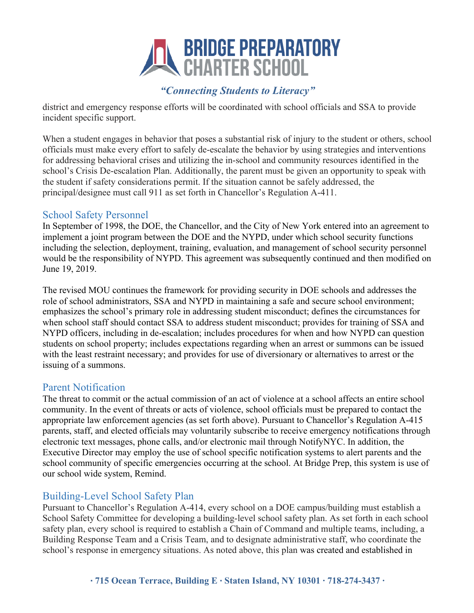

district and emergency response efforts will be coordinated with school officials and SSA to provide incident specific support.

When a student engages in behavior that poses a substantial risk of injury to the student or others, school officials must make every effort to safely de-escalate the behavior by using strategies and interventions for addressing behavioral crises and utilizing the in-school and community resources identified in the school's Crisis De-escalation Plan. Additionally, the parent must be given an opportunity to speak with the student if safety considerations permit. If the situation cannot be safely addressed, the principal/designee must call 911 as set forth in Chancellor's Regulation A-411.

## School Safety Personnel

In September of 1998, the DOE, the Chancellor, and the City of New York entered into an agreement to implement a joint program between the DOE and the NYPD, under which school security functions including the selection, deployment, training, evaluation, and management of school security personnel would be the responsibility of NYPD. This agreement was subsequently continued and then modified on June 19, 2019.

The revised MOU continues the framework for providing security in DOE schools and addresses the role of school administrators, SSA and NYPD in maintaining a safe and secure school environment; emphasizes the school's primary role in addressing student misconduct; defines the circumstances for when school staff should contact SSA to address student misconduct; provides for training of SSA and NYPD officers, including in de-escalation; includes procedures for when and how NYPD can question students on school property; includes expectations regarding when an arrest or summons can be issued with the least restraint necessary; and provides for use of diversionary or alternatives to arrest or the issuing of a summons.

## Parent Notification

The threat to commit or the actual commission of an act of violence at a school affects an entire school community. In the event of threats or acts of violence, school officials must be prepared to contact the appropriate law enforcement agencies (as set forth above). Pursuant to Chancellor's Regulation A-415 parents, staff, and elected officials may voluntarily subscribe to receive emergency notifications through electronic text messages, phone calls, and/or electronic mail through NotifyNYC. In addition, the Executive Director may employ the use of school specific notification systems to alert parents and the school community of specific emergencies occurring at the school. At Bridge Prep, this system is use of our school wide system, Remind.

## Building-Level School Safety Plan

Pursuant to Chancellor's Regulation A-414, every school on a DOE campus/building must establish a School Safety Committee for developing a building-level school safety plan. As set forth in each school safety plan, every school is required to establish a Chain of Command and multiple teams, including, a Building Response Team and a Crisis Team, and to designate administrative staff, who coordinate the school's response in emergency situations. As noted above, this plan was created and established in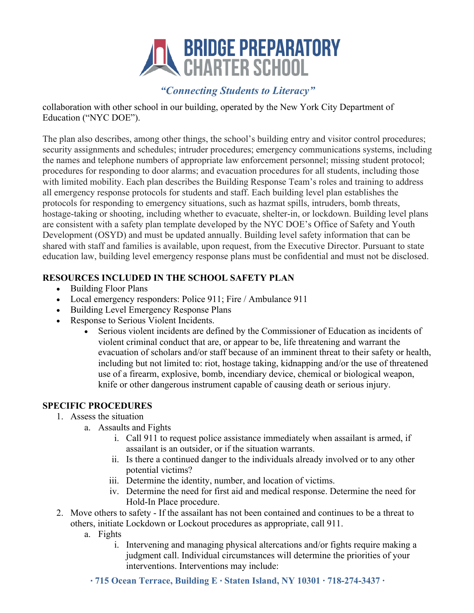

collaboration with other school in our building, operated by the New York City Department of Education ("NYC DOE").

The plan also describes, among other things, the school's building entry and visitor control procedures; security assignments and schedules; intruder procedures; emergency communications systems, including the names and telephone numbers of appropriate law enforcement personnel; missing student protocol; procedures for responding to door alarms; and evacuation procedures for all students, including those with limited mobility. Each plan describes the Building Response Team's roles and training to address all emergency response protocols for students and staff. Each building level plan establishes the protocols for responding to emergency situations, such as hazmat spills, intruders, bomb threats, hostage-taking or shooting, including whether to evacuate, shelter-in, or lockdown. Building level plans are consistent with a safety plan template developed by the NYC DOE's Office of Safety and Youth Development (OSYD) and must be updated annually. Building level safety information that can be shared with staff and families is available, upon request, from the Executive Director. Pursuant to state education law, building level emergency response plans must be confidential and must not be disclosed.

#### **RESOURCES INCLUDED IN THE SCHOOL SAFETY PLAN**

- Building Floor Plans
- Local emergency responders: Police 911; Fire / Ambulance 911
- Building Level Emergency Response Plans
- Response to Serious Violent Incidents.
	- Serious violent incidents are defined by the Commissioner of Education as incidents of violent criminal conduct that are, or appear to be, life threatening and warrant the evacuation of scholars and/or staff because of an imminent threat to their safety or health, including but not limited to: riot, hostage taking, kidnapping and/or the use of threatened use of a firearm, explosive, bomb, incendiary device, chemical or biological weapon, knife or other dangerous instrument capable of causing death or serious injury.

#### **SPECIFIC PROCEDURES**

- 1. Assess the situation
	- a. Assaults and Fights
		- i. Call 911 to request police assistance immediately when assailant is armed, if assailant is an outsider, or if the situation warrants.
		- ii. Is there a continued danger to the individuals already involved or to any other potential victims?
		- iii. Determine the identity, number, and location of victims.
		- iv. Determine the need for first aid and medical response. Determine the need for Hold-In Place procedure.
- 2. Move others to safety If the assailant has not been contained and continues to be a threat to others, initiate Lockdown or Lockout procedures as appropriate, call 911.
	- a. Fights
		- i. Intervening and managing physical altercations and/or fights require making a judgment call. Individual circumstances will determine the priorities of your interventions. Interventions may include:
		- ∙ **715 Ocean Terrace, Building E** ∙ **Staten Island, NY 10301 ∙ 718-274-3437 ∙**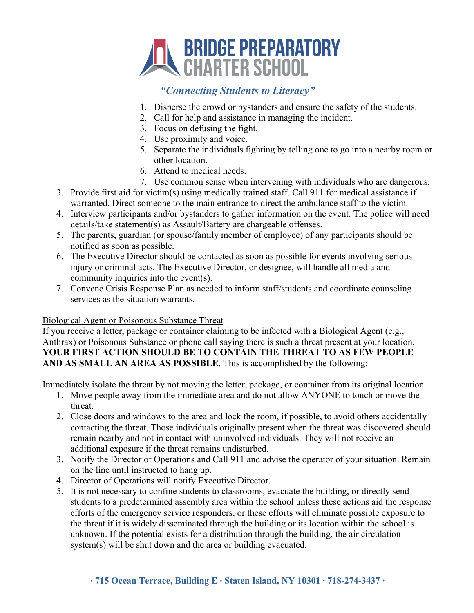

- 1. Disperse the crowd or bystanders and ensure the safety of the students.
- 2. Call for help and assistance in managing the incident.
- 3. Focus on defusing the fight.
- 4. Use proximity and voice.
- 5. Separate the individuals fighting by telling one to go into a nearby room or other location.
- 6. Attend to medical needs.
- 7. Use common sense when intervening with individuals who are dangerous.
- 3. Provide first aid for victim(s) using medically trained staff. Call 911 for medical assistance if warranted. Direct someone to the main entrance to direct the ambulance staff to the victim.
- 4. Interview participants and/or bystanders to gather information on the event. The police will need details/take statement(s) as Assault/Battery are chargeable offenses.
- 5. The parents, guardian (or spouse/family member of employee) of any participants should be notified as soon as possible.
- 6. The Executive Director should be contacted as soon as possible for events involving serious injury or criminal acts. The Executive Director, or designee, will handle all media and community inquiries into the event(s).
- 7. Convene Crisis Response Plan as needed to inform staff/students and coordinate counseling services as the situation warrants.

## Biological Agent or Poisonous Substance Threat

If you receive a letter, package or container claiming to be infected with a Biological Agent (e.g., Anthrax) or Poisonous Substance or phone call saying there is such a threat present at your location, **YOUR FIRST ACTION SHOULD BE TO CONTAIN THE THREAT TO AS FEW PEOPLE AND AS SMALL AN AREA AS POSSIBLE**. This is accomplished by the following:

Immediately isolate the threat by not moving the letter, package, or container from its original location.

- 1. Move people away from the immediate area and do not allow ANYONE to touch or move the threat.
- 2. Close doors and windows to the area and lock the room, if possible, to avoid others accidentally contacting the threat. Those individuals originally present when the threat was discovered should remain nearby and not in contact with uninvolved individuals. They will not receive an additional exposure if the threat remains undisturbed.
- 3. Notify the Director of Operations and Call 911 and advise the operator of your situation. Remain on the line until instructed to hang up.
- 4. Director of Operations will notify Executive Director.
- 5. It is not necessary to confine students to classrooms, evacuate the building, or directly send students to a predetermined assembly area within the school unless these actions aid the response efforts of the emergency service responders, or these efforts will eliminate possible exposure to the threat if it is widely disseminated through the building or its location within the school is unknown. If the potential exists for a distribution through the building, the air circulation system(s) will be shut down and the area or building evacuated.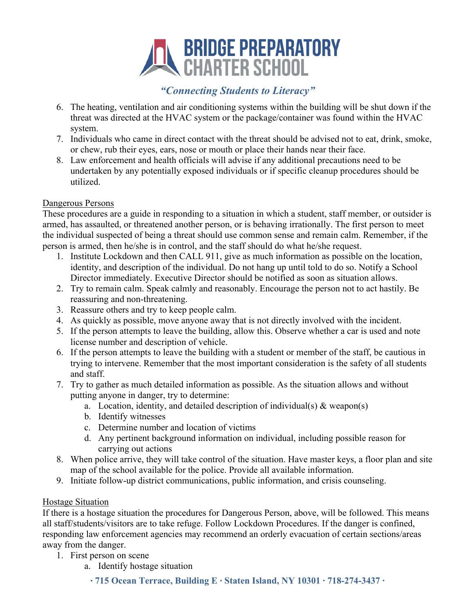

- 6. The heating, ventilation and air conditioning systems within the building will be shut down if the threat was directed at the HVAC system or the package/container was found within the HVAC system.
- 7. Individuals who came in direct contact with the threat should be advised not to eat, drink, smoke, or chew, rub their eyes, ears, nose or mouth or place their hands near their face.
- 8. Law enforcement and health officials will advise if any additional precautions need to be undertaken by any potentially exposed individuals or if specific cleanup procedures should be utilized.

#### Dangerous Persons

These procedures are a guide in responding to a situation in which a student, staff member, or outsider is armed, has assaulted, or threatened another person, or is behaving irrationally. The first person to meet the individual suspected of being a threat should use common sense and remain calm. Remember, if the person is armed, then he/she is in control, and the staff should do what he/she request.

- 1. Institute Lockdown and then CALL 911, give as much information as possible on the location, identity, and description of the individual. Do not hang up until told to do so. Notify a School Director immediately. Executive Director should be notified as soon as situation allows.
- 2. Try to remain calm. Speak calmly and reasonably. Encourage the person not to act hastily. Be reassuring and non-threatening.
- 3. Reassure others and try to keep people calm.
- 4. As quickly as possible, move anyone away that is not directly involved with the incident.
- 5. If the person attempts to leave the building, allow this. Observe whether a car is used and note license number and description of vehicle.
- 6. If the person attempts to leave the building with a student or member of the staff, be cautious in trying to intervene. Remember that the most important consideration is the safety of all students and staff.
- 7. Try to gather as much detailed information as possible. As the situation allows and without putting anyone in danger, try to determine:
	- a. Location, identity, and detailed description of individual(s) & weapon(s)
	- b. Identify witnesses
	- c. Determine number and location of victims
	- d. Any pertinent background information on individual, including possible reason for carrying out actions
- 8. When police arrive, they will take control of the situation. Have master keys, a floor plan and site map of the school available for the police. Provide all available information.
- 9. Initiate follow-up district communications, public information, and crisis counseling.

## Hostage Situation

If there is a hostage situation the procedures for Dangerous Person, above, will be followed. This means all staff/students/visitors are to take refuge. Follow Lockdown Procedures. If the danger is confined, responding law enforcement agencies may recommend an orderly evacuation of certain sections/areas away from the danger.

- 1. First person on scene
	- a. Identify hostage situation
		- ∙ **715 Ocean Terrace, Building E** ∙ **Staten Island, NY 10301 ∙ 718-274-3437 ∙**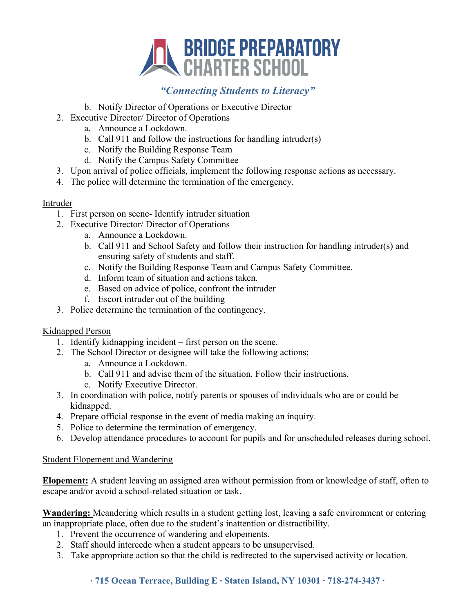

- b. Notify Director of Operations or Executive Director
- 2. Executive Director/ Director of Operations
	- a. Announce a Lockdown.
	- b. Call 911 and follow the instructions for handling intruder(s)
	- c. Notify the Building Response Team
	- d. Notify the Campus Safety Committee
- 3. Upon arrival of police officials, implement the following response actions as necessary.
- 4. The police will determine the termination of the emergency.

#### Intruder

- 1. First person on scene- Identify intruder situation
- 2. Executive Director/ Director of Operations
	- a. Announce a Lockdown.
	- b. Call 911 and School Safety and follow their instruction for handling intruder(s) and ensuring safety of students and staff.
	- c. Notify the Building Response Team and Campus Safety Committee.
	- d. Inform team of situation and actions taken.
	- e. Based on advice of police, confront the intruder
	- f. Escort intruder out of the building
- 3. Police determine the termination of the contingency.

#### Kidnapped Person

- 1. Identify kidnapping incident first person on the scene.
- 2. The School Director or designee will take the following actions;
	- a. Announce a Lockdown.
	- b. Call 911 and advise them of the situation. Follow their instructions.
	- c. Notify Executive Director.
- 3. In coordination with police, notify parents or spouses of individuals who are or could be kidnapped.
- 4. Prepare official response in the event of media making an inquiry.
- 5. Police to determine the termination of emergency.
- 6. Develop attendance procedures to account for pupils and for unscheduled releases during school.

#### Student Elopement and Wandering

**Elopement:** A student leaving an assigned area without permission from or knowledge of staff, often to escape and/or avoid a school-related situation or task.

**Wandering:** Meandering which results in a student getting lost, leaving a safe environment or entering an inappropriate place, often due to the student's inattention or distractibility.

- 1. Prevent the occurrence of wandering and elopements.
- 2. Staff should intercede when a student appears to be unsupervised.
- 3. Take appropriate action so that the child is redirected to the supervised activity or location.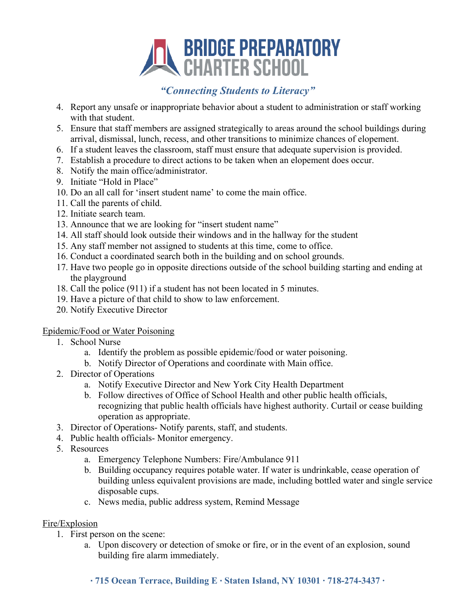# **EN BRIDGE PREPARATORY**<br>CHARTER SCHOOL

# *"Connecting Students to Literacy"*

- 4. Report any unsafe or inappropriate behavior about a student to administration or staff working with that student.
- 5. Ensure that staff members are assigned strategically to areas around the school buildings during arrival, dismissal, lunch, recess, and other transitions to minimize chances of elopement.
- 6. If a student leaves the classroom, staff must ensure that adequate supervision is provided.
- 7. Establish a procedure to direct actions to be taken when an elopement does occur.
- 8. Notify the main office/administrator.
- 9. Initiate "Hold in Place"
- 10. Do an all call for 'insert student name' to come the main office.
- 11. Call the parents of child.
- 12. Initiate search team.
- 13. Announce that we are looking for "insert student name"
- 14. All staff should look outside their windows and in the hallway for the student
- 15. Any staff member not assigned to students at this time, come to office.
- 16. Conduct a coordinated search both in the building and on school grounds.
- 17. Have two people go in opposite directions outside of the school building starting and ending at the playground
- 18. Call the police (911) if a student has not been located in 5 minutes.
- 19. Have a picture of that child to show to law enforcement.
- 20. Notify Executive Director

## Epidemic/Food or Water Poisoning

- 1. School Nurse
	- a. Identify the problem as possible epidemic/food or water poisoning.
	- b. Notify Director of Operations and coordinate with Main office.
- 2. Director of Operations
	- a. Notify Executive Director and New York City Health Department
	- b. Follow directives of Office of School Health and other public health officials, recognizing that public health officials have highest authority. Curtail or cease building operation as appropriate.
- 3. Director of Operations- Notify parents, staff, and students.
- 4. Public health officials- Monitor emergency.
- 5. Resources
	- a. Emergency Telephone Numbers: Fire/Ambulance 911
	- b. Building occupancy requires potable water. If water is undrinkable, cease operation of building unless equivalent provisions are made, including bottled water and single service disposable cups.
	- c. News media, public address system, Remind Message

## Fire/Explosion

- 1. First person on the scene:
	- a. Upon discovery or detection of smoke or fire, or in the event of an explosion, sound building fire alarm immediately.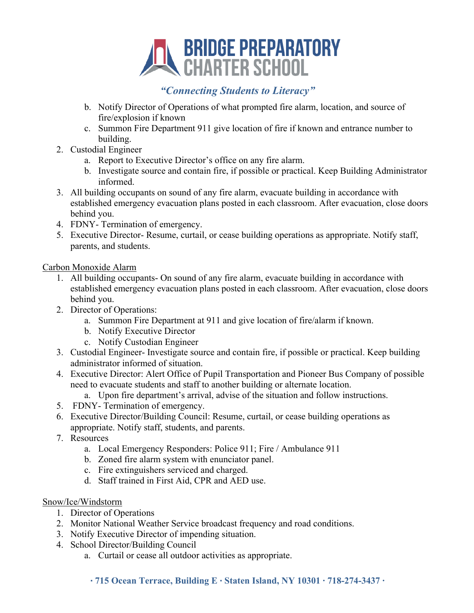

- b. Notify Director of Operations of what prompted fire alarm, location, and source of fire/explosion if known
- c. Summon Fire Department 911 give location of fire if known and entrance number to building.
- 2. Custodial Engineer
	- a. Report to Executive Director's office on any fire alarm.
	- b. Investigate source and contain fire, if possible or practical. Keep Building Administrator informed.
- 3. All building occupants on sound of any fire alarm, evacuate building in accordance with established emergency evacuation plans posted in each classroom. After evacuation, close doors behind you.
- 4. FDNY- Termination of emergency.
- 5. Executive Director- Resume, curtail, or cease building operations as appropriate. Notify staff, parents, and students.

Carbon Monoxide Alarm

- 1. All building occupants- On sound of any fire alarm, evacuate building in accordance with established emergency evacuation plans posted in each classroom. After evacuation, close doors behind you.
- 2. Director of Operations:
	- a. Summon Fire Department at 911 and give location of fire/alarm if known.
	- b. Notify Executive Director
	- c. Notify Custodian Engineer
- 3. Custodial Engineer- Investigate source and contain fire, if possible or practical. Keep building administrator informed of situation.
- 4. Executive Director: Alert Office of Pupil Transportation and Pioneer Bus Company of possible need to evacuate students and staff to another building or alternate location.
	- a. Upon fire department's arrival, advise of the situation and follow instructions.
- 5. FDNY- Termination of emergency.
- 6. Executive Director/Building Council: Resume, curtail, or cease building operations as appropriate. Notify staff, students, and parents.
- 7. Resources
	- a. Local Emergency Responders: Police 911; Fire / Ambulance 911
	- b. Zoned fire alarm system with enunciator panel.
	- c. Fire extinguishers serviced and charged.
	- d. Staff trained in First Aid, CPR and AED use.

#### Snow/Ice/Windstorm

- 1. Director of Operations
- 2. Monitor National Weather Service broadcast frequency and road conditions.
- 3. Notify Executive Director of impending situation.
- 4. School Director/Building Council
	- a. Curtail or cease all outdoor activities as appropriate.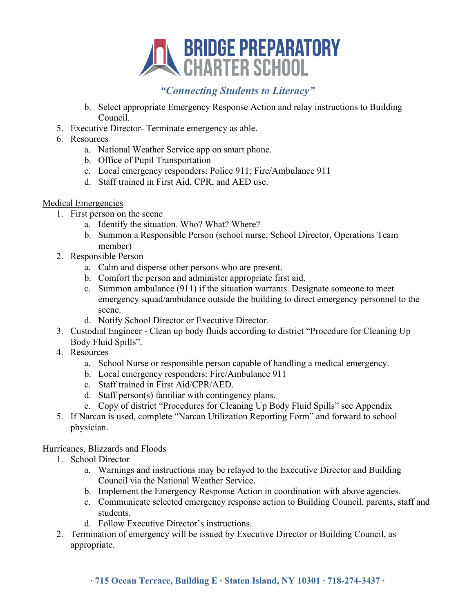

- b. Select appropriate Emergency Response Action and relay instructions to Building Council.
- 5. Executive Director- Terminate emergency as able.
- 6. Resources
	- a. National Weather Service app on smart phone.
	- b. Office of Pupil Transportation
	- c. Local emergency responders: Police 911; Fire/Ambulance 911
	- d. Staff trained in First Aid, CPR, and AED use.

#### Medical Emergencies

- 1. First person on the scene
	- a. Identify the situation. Who? What? Where?
	- b. Summon a Responsible Person (school nurse, School Director, Operations Team member)
- 2. Responsible Person
	- a. Calm and disperse other persons who are present.
	- b. Comfort the person and administer appropriate first aid.
	- c. Summon ambulance (911) if the situation warrants. Designate someone to meet emergency squad/ambulance outside the building to direct emergency personnel to the scene.
	- d. Notify School Director or Executive Director.
- 3. Custodial Engineer Clean up body fluids according to district "Procedure for Cleaning Up Body Fluid Spills".
- 4. Resources
	- a. School Nurse or responsible person capable of handling a medical emergency.
	- b. Local emergency responders: Fire/Ambulance 911
	- c. Staff trained in First Aid/CPR/AED.
	- d. Staff person(s) familiar with contingency plans.
	- e. Copy of district "Procedures for Cleaning Up Body Fluid Spills" see Appendix
- 5. If Narcan is used, complete "Narcan Utilization Reporting Form" and forward to school physician.

#### Hurricanes, Blizzards and Floods

- 1. School Director
	- a. Warnings and instructions may be relayed to the Executive Director and Building Council via the National Weather Service.
	- b. Implement the Emergency Response Action in coordination with above agencies.
	- c. Communicate selected emergency response action to Building Council, parents, staff and students.
	- d. Follow Executive Director's instructions.
- 2. Termination of emergency will be issued by Executive Director or Building Council, as appropriate.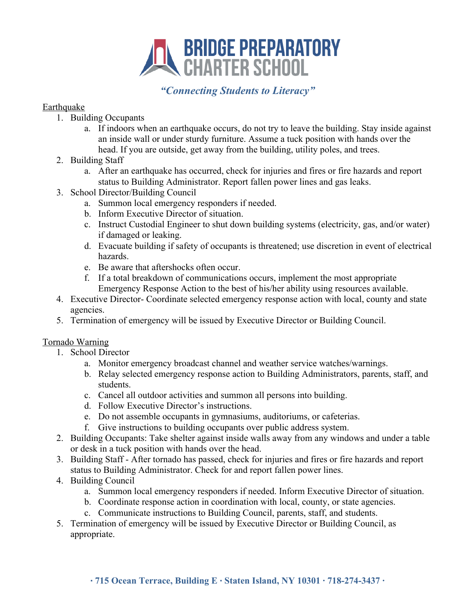

#### Earthquake

- 1. Building Occupants
	- a. If indoors when an earthquake occurs, do not try to leave the building. Stay inside against an inside wall or under sturdy furniture. Assume a tuck position with hands over the head. If you are outside, get away from the building, utility poles, and trees.
- 2. Building Staff
	- a. After an earthquake has occurred, check for injuries and fires or fire hazards and report status to Building Administrator. Report fallen power lines and gas leaks.
- 3. School Director/Building Council
	- a. Summon local emergency responders if needed.
	- b. Inform Executive Director of situation.
	- c. Instruct Custodial Engineer to shut down building systems (electricity, gas, and/or water) if damaged or leaking.
	- d. Evacuate building if safety of occupants is threatened; use discretion in event of electrical hazards.
	- e. Be aware that aftershocks often occur.
	- f. If a total breakdown of communications occurs, implement the most appropriate Emergency Response Action to the best of his/her ability using resources available.
- 4. Executive Director- Coordinate selected emergency response action with local, county and state agencies.
- 5. Termination of emergency will be issued by Executive Director or Building Council.

## Tornado Warning

- 1. School Director
	- a. Monitor emergency broadcast channel and weather service watches/warnings.
	- b. Relay selected emergency response action to Building Administrators, parents, staff, and students.
	- c. Cancel all outdoor activities and summon all persons into building.
	- d. Follow Executive Director's instructions.
	- e. Do not assemble occupants in gymnasiums, auditoriums, or cafeterias.
	- f. Give instructions to building occupants over public address system.
- 2. Building Occupants: Take shelter against inside walls away from any windows and under a table or desk in a tuck position with hands over the head.
- 3. Building Staff After tornado has passed, check for injuries and fires or fire hazards and report status to Building Administrator. Check for and report fallen power lines.
- 4. Building Council
	- a. Summon local emergency responders if needed. Inform Executive Director of situation.
	- b. Coordinate response action in coordination with local, county, or state agencies.
	- c. Communicate instructions to Building Council, parents, staff, and students.
- 5. Termination of emergency will be issued by Executive Director or Building Council, as appropriate.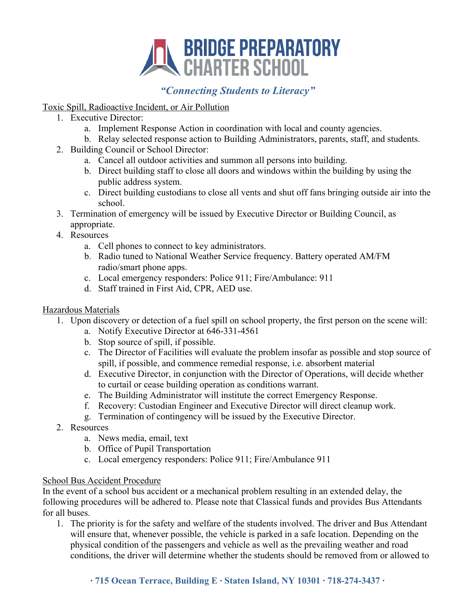

## Toxic Spill, Radioactive Incident, or Air Pollution

- 1. Executive Director:
	- a. Implement Response Action in coordination with local and county agencies.
	- b. Relay selected response action to Building Administrators, parents, staff, and students.
- 2. Building Council or School Director:
	- a. Cancel all outdoor activities and summon all persons into building.
	- b. Direct building staff to close all doors and windows within the building by using the public address system.
	- c. Direct building custodians to close all vents and shut off fans bringing outside air into the school.
- 3. Termination of emergency will be issued by Executive Director or Building Council, as appropriate.
- 4. Resources
	- a. Cell phones to connect to key administrators.
	- b. Radio tuned to National Weather Service frequency. Battery operated AM/FM radio/smart phone apps.
	- c. Local emergency responders: Police 911; Fire/Ambulance: 911
	- d. Staff trained in First Aid, CPR, AED use.

## Hazardous Materials

- 1. Upon discovery or detection of a fuel spill on school property, the first person on the scene will:
	- a. Notify Executive Director at 646-331-4561
	- b. Stop source of spill, if possible.
	- c. The Director of Facilities will evaluate the problem insofar as possible and stop source of spill, if possible, and commence remedial response, i.e. absorbent material
	- d. Executive Director, in conjunction with the Director of Operations, will decide whether to curtail or cease building operation as conditions warrant.
	- e. The Building Administrator will institute the correct Emergency Response.
	- f. Recovery: Custodian Engineer and Executive Director will direct cleanup work.
	- g. Termination of contingency will be issued by the Executive Director.
- 2. Resources
	- a. News media, email, text
	- b. Office of Pupil Transportation
	- c. Local emergency responders: Police 911; Fire/Ambulance 911

## School Bus Accident Procedure

In the event of a school bus accident or a mechanical problem resulting in an extended delay, the following procedures will be adhered to. Please note that Classical funds and provides Bus Attendants for all buses.

1. The priority is for the safety and welfare of the students involved. The driver and Bus Attendant will ensure that, whenever possible, the vehicle is parked in a safe location. Depending on the physical condition of the passengers and vehicle as well as the prevailing weather and road conditions, the driver will determine whether the students should be removed from or allowed to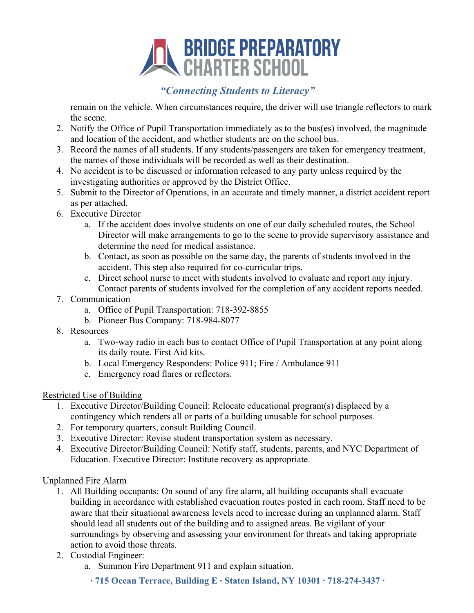# **EN BRIDGE PREPARATORY**<br>CHARTER SCHOOL

# *"Connecting Students to Literacy"*

remain on the vehicle. When circumstances require, the driver will use triangle reflectors to mark the scene.

- 2. Notify the Office of Pupil Transportation immediately as to the bus(es) involved, the magnitude and location of the accident, and whether students are on the school bus.
- 3. Record the names of all students. If any students/passengers are taken for emergency treatment, the names of those individuals will be recorded as well as their destination.
- 4. No accident is to be discussed or information released to any party unless required by the investigating authorities or approved by the District Office.
- 5. Submit to the Director of Operations, in an accurate and timely manner, a district accident report as per attached.
- 6. Executive Director
	- a. If the accident does involve students on one of our daily scheduled routes, the School Director will make arrangements to go to the scene to provide supervisory assistance and determine the need for medical assistance.
	- b. Contact, as soon as possible on the same day, the parents of students involved in the accident. This step also required for co-curricular trips.
	- c. Direct school nurse to meet with students involved to evaluate and report any injury. Contact parents of students involved for the completion of any accident reports needed.
- 7. Communication
	- a. Office of Pupil Transportation: 718-392-8855
	- b. Pioneer Bus Company: 718-984-8077
- 8. Resources
	- a. Two-way radio in each bus to contact Office of Pupil Transportation at any point along its daily route. First Aid kits.
	- b. Local Emergency Responders: Police 911; Fire / Ambulance 911
	- c. Emergency road flares or reflectors.

#### Restricted Use of Building

- 1. Executive Director/Building Council: Relocate educational program(s) displaced by a contingency which renders all or parts of a building unusable for school purposes.
- 2. For temporary quarters, consult Building Council.
- 3. Executive Director: Revise student transportation system as necessary.
- 4. Executive Director/Building Council: Notify staff, students, parents, and NYC Department of Education. Executive Director: Institute recovery as appropriate.

#### Unplanned Fire Alarm

- 1. All Building occupants: On sound of any fire alarm, all building occupants shall evacuate building in accordance with established evacuation routes posted in each room. Staff need to be aware that their situational awareness levels need to increase during an unplanned alarm. Staff should lead all students out of the building and to assigned areas. Be vigilant of your surroundings by observing and assessing your environment for threats and taking appropriate action to avoid those threats.
- 2. Custodial Engineer:
	- a. Summon Fire Department 911 and explain situation.
		- ∙ **715 Ocean Terrace, Building E** ∙ **Staten Island, NY 10301 ∙ 718-274-3437 ∙**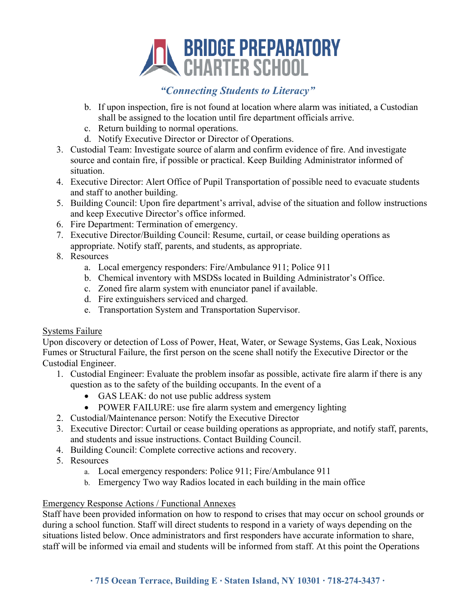# **EN BRIDGE PREPARATORY**<br>CHARTER SCHOOL

# *"Connecting Students to Literacy"*

- b. If upon inspection, fire is not found at location where alarm was initiated, a Custodian shall be assigned to the location until fire department officials arrive.
- c. Return building to normal operations.
- d. Notify Executive Director or Director of Operations.
- 3. Custodial Team: Investigate source of alarm and confirm evidence of fire. And investigate source and contain fire, if possible or practical. Keep Building Administrator informed of situation.
- 4. Executive Director: Alert Office of Pupil Transportation of possible need to evacuate students and staff to another building.
- 5. Building Council: Upon fire department's arrival, advise of the situation and follow instructions and keep Executive Director's office informed.
- 6. Fire Department: Termination of emergency.
- 7. Executive Director/Building Council: Resume, curtail, or cease building operations as appropriate. Notify staff, parents, and students, as appropriate.
- 8. Resources
	- a. Local emergency responders: Fire/Ambulance 911; Police 911
	- b. Chemical inventory with MSDSs located in Building Administrator's Office.
	- c. Zoned fire alarm system with enunciator panel if available.
	- d. Fire extinguishers serviced and charged.
	- e. Transportation System and Transportation Supervisor.

#### Systems Failure

Upon discovery or detection of Loss of Power, Heat, Water, or Sewage Systems, Gas Leak, Noxious Fumes or Structural Failure, the first person on the scene shall notify the Executive Director or the Custodial Engineer.

- 1. Custodial Engineer: Evaluate the problem insofar as possible, activate fire alarm if there is any question as to the safety of the building occupants. In the event of a
	- GAS LEAK: do not use public address system
	- POWER FAILURE: use fire alarm system and emergency lighting
- 2. Custodial/Maintenance person: Notify the Executive Director
- 3. Executive Director: Curtail or cease building operations as appropriate, and notify staff, parents, and students and issue instructions. Contact Building Council.
- 4. Building Council: Complete corrective actions and recovery.
- 5. Resources
	- a. Local emergency responders: Police 911; Fire/Ambulance 911
	- b. Emergency Two way Radios located in each building in the main office

## Emergency Response Actions / Functional Annexes

Staff have been provided information on how to respond to crises that may occur on school grounds or during a school function. Staff will direct students to respond in a variety of ways depending on the situations listed below. Once administrators and first responders have accurate information to share, staff will be informed via email and students will be informed from staff. At this point the Operations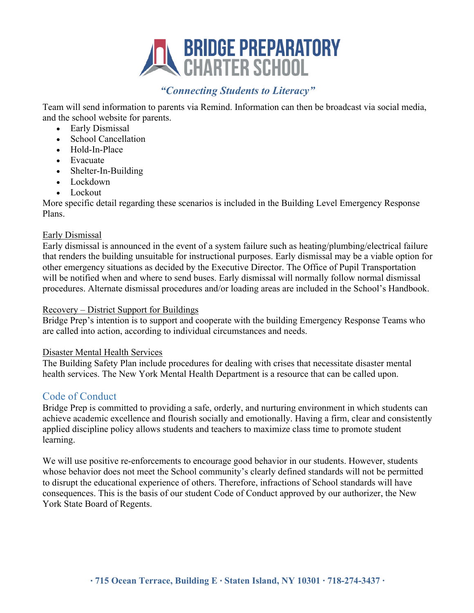

Team will send information to parents via Remind. Information can then be broadcast via social media, and the school website for parents.

- Early Dismissal
- School Cancellation
- Hold-In-Place
- Evacuate
- Shelter-In-Building
- Lockdown
- Lockout

More specific detail regarding these scenarios is included in the Building Level Emergency Response Plans.

#### Early Dismissal

Early dismissal is announced in the event of a system failure such as heating/plumbing/electrical failure that renders the building unsuitable for instructional purposes. Early dismissal may be a viable option for other emergency situations as decided by the Executive Director. The Office of Pupil Transportation will be notified when and where to send buses. Early dismissal will normally follow normal dismissal procedures. Alternate dismissal procedures and/or loading areas are included in the School's Handbook.

#### Recovery – District Support for Buildings

Bridge Prep's intention is to support and cooperate with the building Emergency Response Teams who are called into action, according to individual circumstances and needs.

#### Disaster Mental Health Services

The Building Safety Plan include procedures for dealing with crises that necessitate disaster mental health services. The New York Mental Health Department is a resource that can be called upon.

## Code of Conduct

Bridge Prep is committed to providing a safe, orderly, and nurturing environment in which students can achieve academic excellence and flourish socially and emotionally. Having a firm, clear and consistently applied discipline policy allows students and teachers to maximize class time to promote student learning.

We will use positive re-enforcements to encourage good behavior in our students. However, students whose behavior does not meet the School community's clearly defined standards will not be permitted to disrupt the educational experience of others. Therefore, infractions of School standards will have consequences. This is the basis of our student Code of Conduct approved by our authorizer, the New York State Board of Regents.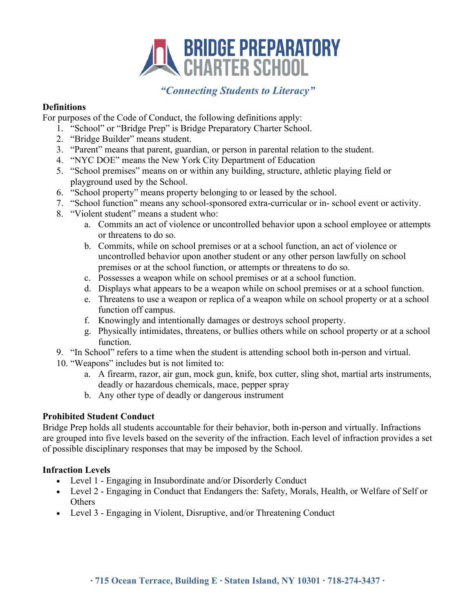

#### **Definitions**

For purposes of the Code of Conduct, the following definitions apply:

- 1. "School" or "Bridge Prep" is Bridge Preparatory Charter School.
- 2. "Bridge Builder" means student.
- 3. "Parent" means that parent, guardian, or person in parental relation to the student.
- 4. "NYC DOE" means the New York City Department of Education
- 5. "School premises" means on or within any building, structure, athletic playing field or playground used by the School.
- 6. "School property" means property belonging to or leased by the school.
- 7. "School function" means any school-sponsored extra-curricular or in- school event or activity.
- 8. "Violent student" means a student who:
	- a. Commits an act of violence or uncontrolled behavior upon a school employee or attempts or threatens to do so.
	- b. Commits, while on school premises or at a school function, an act of violence or uncontrolled behavior upon another student or any other person lawfully on school premises or at the school function, or attempts or threatens to do so.
	- c. Possesses a weapon while on school premises or at a school function.
	- d. Displays what appears to be a weapon while on school premises or at a school function.
	- e. Threatens to use a weapon or replica of a weapon while on school property or at a school function off campus.
	- f. Knowingly and intentionally damages or destroys school property.
	- g. Physically intimidates, threatens, or bullies others while on school property or at a school function.
- 9. "In School" refers to a time when the student is attending school both in-person and virtual.
- 10. "Weapons" includes but is not limited to:
	- a. A firearm, razor, air gun, mock gun, knife, box cutter, sling shot, martial arts instruments, deadly or hazardous chemicals, mace, pepper spray
	- b. Any other type of deadly or dangerous instrument

## **Prohibited Student Conduct**

Bridge Prep holds all students accountable for their behavior, both in-person and virtually. Infractions are grouped into five levels based on the severity of the infraction. Each level of infraction provides a set of possible disciplinary responses that may be imposed by the School.

## **Infraction Levels**

- Level 1 Engaging in Insubordinate and/or Disorderly Conduct
- Level 2 Engaging in Conduct that Endangers the: Safety, Morals, Health, or Welfare of Self or **Others**
- Level 3 Engaging in Violent, Disruptive, and/or Threatening Conduct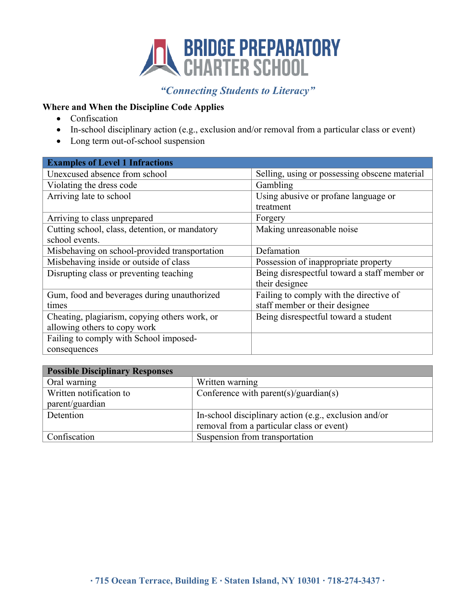

#### **Where and When the Discipline Code Applies**

- Confiscation
- In-school disciplinary action (e.g., exclusion and/or removal from a particular class or event)
- Long term out-of-school suspension

| <b>Examples of Level 1 Infractions</b>         |                                               |
|------------------------------------------------|-----------------------------------------------|
| Unexcused absence from school                  | Selling, using or possessing obscene material |
| Violating the dress code                       | Gambling                                      |
| Arriving late to school                        | Using abusive or profane language or          |
|                                                | treatment                                     |
| Arriving to class unprepared                   | Forgery                                       |
| Cutting school, class, detention, or mandatory | Making unreasonable noise                     |
| school events.                                 |                                               |
| Misbehaving on school-provided transportation  | Defamation                                    |
| Misbehaving inside or outside of class         | Possession of inappropriate property          |
| Disrupting class or preventing teaching        | Being disrespectful toward a staff member or  |
|                                                | their designee                                |
| Gum, food and beverages during unauthorized    | Failing to comply with the directive of       |
| times                                          | staff member or their designee                |
| Cheating, plagiarism, copying others work, or  | Being disrespectful toward a student          |
| allowing others to copy work                   |                                               |
| Failing to comply with School imposed-         |                                               |
| consequences                                   |                                               |

| <b>Possible Disciplinary Responses</b> |                                                       |  |
|----------------------------------------|-------------------------------------------------------|--|
| Oral warning                           | Written warning                                       |  |
| Written notification to                | Conference with parent(s)/guardian(s)                 |  |
| parent/guardian                        |                                                       |  |
| Detention                              | In-school disciplinary action (e.g., exclusion and/or |  |
|                                        | removal from a particular class or event)             |  |
| Confiscation                           | Suspension from transportation                        |  |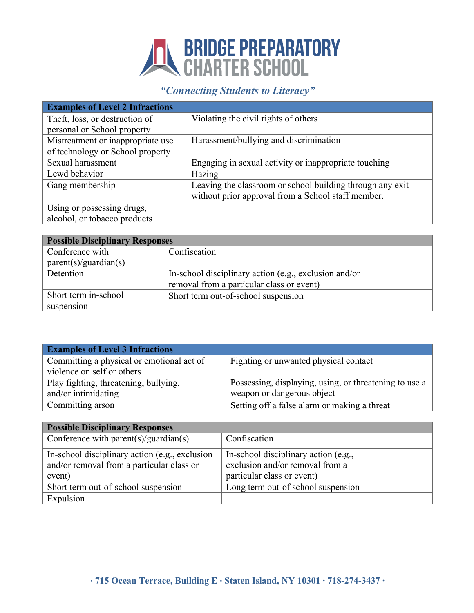# **SRIDGE PREPARATORY**<br>CHARTER SCHOOL

# *"Connecting Students to Literacy"*

| <b>Examples of Level 2 Infractions</b> |                                                           |
|----------------------------------------|-----------------------------------------------------------|
| Theft, loss, or destruction of         | Violating the civil rights of others                      |
| personal or School property            |                                                           |
| Mistreatment or inappropriate use      | Harassment/bullying and discrimination                    |
| of technology or School property       |                                                           |
| Sexual harassment                      | Engaging in sexual activity or inappropriate touching     |
| Lewd behavior                          | Hazing                                                    |
| Gang membership                        | Leaving the classroom or school building through any exit |
|                                        | without prior approval from a School staff member.        |
| Using or possessing drugs,             |                                                           |
| alcohol, or tobacco products           |                                                           |

| <b>Possible Disciplinary Responses</b> |                                                       |  |
|----------------------------------------|-------------------------------------------------------|--|
| Conference with                        | Confiscation                                          |  |
| parent(s)/quantian(s)                  |                                                       |  |
| Detention                              | In-school disciplinary action (e.g., exclusion and/or |  |
|                                        | removal from a particular class or event)             |  |
| Short term in-school                   | Short term out-of-school suspension                   |  |
| suspension                             |                                                       |  |

| <b>Examples of Level 3 Infractions</b>    |                                                        |
|-------------------------------------------|--------------------------------------------------------|
| Committing a physical or emotional act of | Fighting or unwanted physical contact                  |
| violence on self or others                |                                                        |
| Play fighting, threatening, bullying,     | Possessing, displaying, using, or threatening to use a |
| and/or intimidating                       | weapon or dangerous object                             |
| Committing arson                          | Setting off a false alarm or making a threat           |

| <b>Possible Disciplinary Responses</b>                                                                |                                                                                                       |  |
|-------------------------------------------------------------------------------------------------------|-------------------------------------------------------------------------------------------------------|--|
| Conference with parent(s)/guardian(s)                                                                 | Confiscation                                                                                          |  |
| In-school disciplinary action (e.g., exclusion<br>and/or removal from a particular class or<br>event) | In-school disciplinary action (e.g.,<br>exclusion and/or removal from a<br>particular class or event) |  |
| Short term out-of-school suspension                                                                   | Long term out-of school suspension                                                                    |  |
| Expulsion                                                                                             |                                                                                                       |  |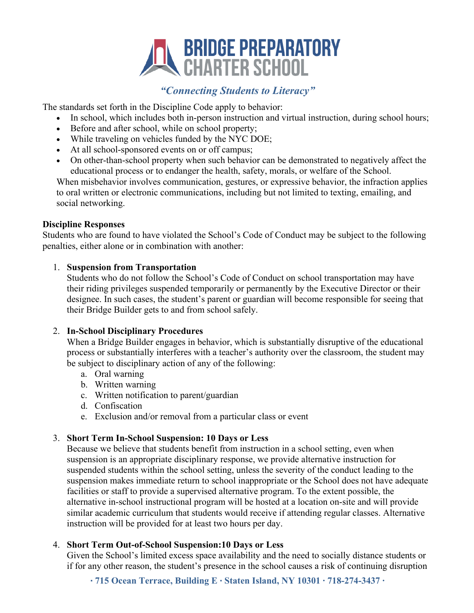

The standards set forth in the Discipline Code apply to behavior:

- In school, which includes both in-person instruction and virtual instruction, during school hours;
- Before and after school, while on school property;
- While traveling on vehicles funded by the NYC DOE;
- At all school-sponsored events on or off campus;
- On other-than-school property when such behavior can be demonstrated to negatively affect the educational process or to endanger the health, safety, morals, or welfare of the School.

When misbehavior involves communication, gestures, or expressive behavior, the infraction applies to oral written or electronic communications, including but not limited to texting, emailing, and social networking.

#### **Discipline Responses**

Students who are found to have violated the School's Code of Conduct may be subject to the following penalties, either alone or in combination with another:

#### 1. **Suspension from Transportation**

Students who do not follow the School's Code of Conduct on school transportation may have their riding privileges suspended temporarily or permanently by the Executive Director or their designee. In such cases, the student's parent or guardian will become responsible for seeing that their Bridge Builder gets to and from school safely.

#### 2. **In-School Disciplinary Procedures**

When a Bridge Builder engages in behavior, which is substantially disruptive of the educational process or substantially interferes with a teacher's authority over the classroom, the student may be subject to disciplinary action of any of the following:

- a. Oral warning
- b. Written warning
- c. Written notification to parent/guardian
- d. Confiscation
- e. Exclusion and/or removal from a particular class or event

#### 3. **Short Term In-School Suspension: 10 Days or Less**

Because we believe that students benefit from instruction in a school setting, even when suspension is an appropriate disciplinary response, we provide alternative instruction for suspended students within the school setting, unless the severity of the conduct leading to the suspension makes immediate return to school inappropriate or the School does not have adequate facilities or staff to provide a supervised alternative program. To the extent possible, the alternative in-school instructional program will be hosted at a location on-site and will provide similar academic curriculum that students would receive if attending regular classes. Alternative instruction will be provided for at least two hours per day.

#### 4. **Short Term Out-of-School Suspension:10 Days or Less**

Given the School's limited excess space availability and the need to socially distance students or if for any other reason, the student's presence in the school causes a risk of continuing disruption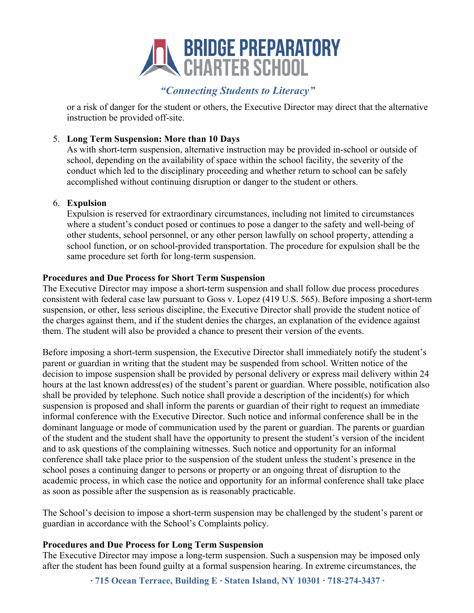

or a risk of danger for the student or others, the Executive Director may direct that the alternative instruction be provided off-site.

#### 5. **Long Term Suspension: More than 10 Days**

As with short-term suspension, alternative instruction may be provided in-school or outside of school, depending on the availability of space within the school facility, the severity of the conduct which led to the disciplinary proceeding and whether return to school can be safely accomplished without continuing disruption or danger to the student or others.

#### 6. **Expulsion**

Expulsion is reserved for extraordinary circumstances, including not limited to circumstances where a student's conduct posed or continues to pose a danger to the safety and well-being of other students, school personnel, or any other person lawfully on school property, attending a school function, or on school-provided transportation. The procedure for expulsion shall be the same procedure set forth for long-term suspension.

#### **Procedures and Due Process for Short Term Suspension**

The Executive Director may impose a short-term suspension and shall follow due process procedures consistent with federal case law pursuant to Goss v. Lopez (419 U.S. 565). Before imposing a short-term suspension, or other, less serious discipline, the Executive Director shall provide the student notice of the charges against them, and if the student denies the charges, an explanation of the evidence against them. The student will also be provided a chance to present their version of the events.

Before imposing a short-term suspension, the Executive Director shall immediately notify the student's parent or guardian in writing that the student may be suspended from school. Written notice of the decision to impose suspension shall be provided by personal delivery or express mail delivery within 24 hours at the last known address(es) of the student's parent or guardian. Where possible, notification also shall be provided by telephone. Such notice shall provide a description of the incident(s) for which suspension is proposed and shall inform the parents or guardian of their right to request an immediate informal conference with the Executive Director. Such notice and informal conference shall be in the dominant language or mode of communication used by the parent or guardian. The parents or guardian of the student and the student shall have the opportunity to present the student's version of the incident and to ask questions of the complaining witnesses. Such notice and opportunity for an informal conference shall take place prior to the suspension of the student unless the student's presence in the school poses a continuing danger to persons or property or an ongoing threat of disruption to the academic process, in which case the notice and opportunity for an informal conference shall take place as soon as possible after the suspension as is reasonably practicable.

The School's decision to impose a short-term suspension may be challenged by the student's parent or guardian in accordance with the School's Complaints policy.

## **Procedures and Due Process for Long Term Suspension**

The Executive Director may impose a long-term suspension. Such a suspension may be imposed only after the student has been found guilty at a formal suspension hearing. In extreme circumstances, the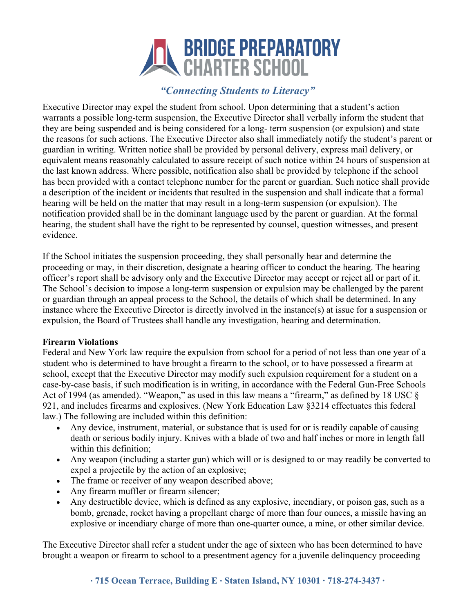# **EN BRIDGE PREPARATORY**<br>CHARTER SCHOOL

# *"Connecting Students to Literacy"*

Executive Director may expel the student from school. Upon determining that a student's action warrants a possible long-term suspension, the Executive Director shall verbally inform the student that they are being suspended and is being considered for a long- term suspension (or expulsion) and state the reasons for such actions. The Executive Director also shall immediately notify the student's parent or guardian in writing. Written notice shall be provided by personal delivery, express mail delivery, or equivalent means reasonably calculated to assure receipt of such notice within 24 hours of suspension at the last known address. Where possible, notification also shall be provided by telephone if the school has been provided with a contact telephone number for the parent or guardian. Such notice shall provide a description of the incident or incidents that resulted in the suspension and shall indicate that a formal hearing will be held on the matter that may result in a long-term suspension (or expulsion). The notification provided shall be in the dominant language used by the parent or guardian. At the formal hearing, the student shall have the right to be represented by counsel, question witnesses, and present evidence.

If the School initiates the suspension proceeding, they shall personally hear and determine the proceeding or may, in their discretion, designate a hearing officer to conduct the hearing. The hearing officer's report shall be advisory only and the Executive Director may accept or reject all or part of it. The School's decision to impose a long-term suspension or expulsion may be challenged by the parent or guardian through an appeal process to the School, the details of which shall be determined. In any instance where the Executive Director is directly involved in the instance(s) at issue for a suspension or expulsion, the Board of Trustees shall handle any investigation, hearing and determination.

## **Firearm Violations**

Federal and New York law require the expulsion from school for a period of not less than one year of a student who is determined to have brought a firearm to the school, or to have possessed a firearm at school, except that the Executive Director may modify such expulsion requirement for a student on a case-by-case basis, if such modification is in writing, in accordance with the Federal Gun-Free Schools Act of 1994 (as amended). "Weapon," as used in this law means a "firearm," as defined by 18 USC § 921, and includes firearms and explosives. (New York Education Law §3214 effectuates this federal law.) The following are included within this definition:

- Any device, instrument, material, or substance that is used for or is readily capable of causing death or serious bodily injury. Knives with a blade of two and half inches or more in length fall within this definition;
- Any weapon (including a starter gun) which will or is designed to or may readily be converted to expel a projectile by the action of an explosive;
- The frame or receiver of any weapon described above;
- Any firearm muffler or firearm silencer;
- Any destructible device, which is defined as any explosive, incendiary, or poison gas, such as a bomb, grenade, rocket having a propellant charge of more than four ounces, a missile having an explosive or incendiary charge of more than one-quarter ounce, a mine, or other similar device.

The Executive Director shall refer a student under the age of sixteen who has been determined to have brought a weapon or firearm to school to a presentment agency for a juvenile delinquency proceeding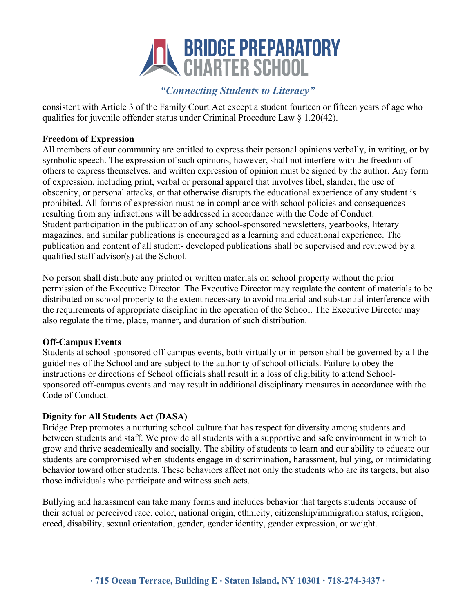# **EN BRIDGE PREPARATORY**<br>CHARTER SCHOOL

# *"Connecting Students to Literacy"*

consistent with Article 3 of the Family Court Act except a student fourteen or fifteen years of age who qualifies for juvenile offender status under Criminal Procedure Law § 1.20(42).

#### **Freedom of Expression**

All members of our community are entitled to express their personal opinions verbally, in writing, or by symbolic speech. The expression of such opinions, however, shall not interfere with the freedom of others to express themselves, and written expression of opinion must be signed by the author. Any form of expression, including print, verbal or personal apparel that involves libel, slander, the use of obscenity, or personal attacks, or that otherwise disrupts the educational experience of any student is prohibited. All forms of expression must be in compliance with school policies and consequences resulting from any infractions will be addressed in accordance with the Code of Conduct. Student participation in the publication of any school-sponsored newsletters, yearbooks, literary magazines, and similar publications is encouraged as a learning and educational experience. The publication and content of all student- developed publications shall be supervised and reviewed by a qualified staff advisor(s) at the School.

No person shall distribute any printed or written materials on school property without the prior permission of the Executive Director. The Executive Director may regulate the content of materials to be distributed on school property to the extent necessary to avoid material and substantial interference with the requirements of appropriate discipline in the operation of the School. The Executive Director may also regulate the time, place, manner, and duration of such distribution.

#### **Off-Campus Events**

Students at school-sponsored off-campus events, both virtually or in-person shall be governed by all the guidelines of the School and are subject to the authority of school officials. Failure to obey the instructions or directions of School officials shall result in a loss of eligibility to attend Schoolsponsored off-campus events and may result in additional disciplinary measures in accordance with the Code of Conduct.

#### **Dignity for All Students Act (DASA)**

Bridge Prep promotes a nurturing school culture that has respect for diversity among students and between students and staff. We provide all students with a supportive and safe environment in which to grow and thrive academically and socially. The ability of students to learn and our ability to educate our students are compromised when students engage in discrimination, harassment, bullying, or intimidating behavior toward other students. These behaviors affect not only the students who are its targets, but also those individuals who participate and witness such acts.

Bullying and harassment can take many forms and includes behavior that targets students because of their actual or perceived race, color, national origin, ethnicity, citizenship/immigration status, religion, creed, disability, sexual orientation, gender, gender identity, gender expression, or weight.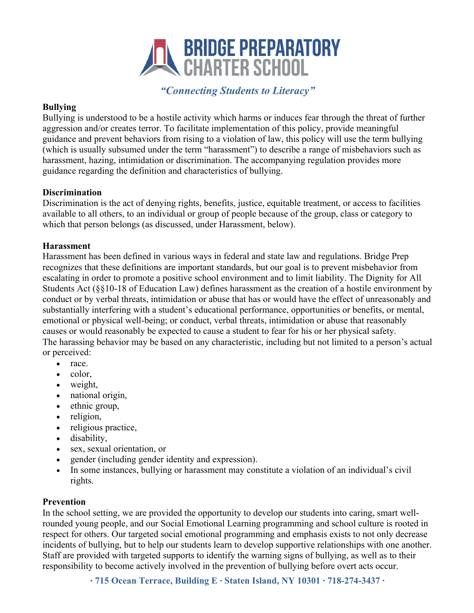

#### **Bullying**

Bullying is understood to be a hostile activity which harms or induces fear through the threat of further aggression and/or creates terror. To facilitate implementation of this policy, provide meaningful guidance and prevent behaviors from rising to a violation of law, this policy will use the term bullying (which is usually subsumed under the term "harassment") to describe a range of misbehaviors such as harassment, hazing, intimidation or discrimination. The accompanying regulation provides more guidance regarding the definition and characteristics of bullying.

#### **Discrimination**

Discrimination is the act of denying rights, benefits, justice, equitable treatment, or access to facilities available to all others, to an individual or group of people because of the group, class or category to which that person belongs (as discussed, under Harassment, below).

#### **Harassment**

Harassment has been defined in various ways in federal and state law and regulations. Bridge Prep recognizes that these definitions are important standards, but our goal is to prevent misbehavior from escalating in order to promote a positive school environment and to limit liability. The Dignity for All Students Act (§§10-18 of Education Law) defines harassment as the creation of a hostile environment by conduct or by verbal threats, intimidation or abuse that has or would have the effect of unreasonably and substantially interfering with a student's educational performance, opportunities or benefits, or mental, emotional or physical well-being; or conduct, verbal threats, intimidation or abuse that reasonably causes or would reasonably be expected to cause a student to fear for his or her physical safety. The harassing behavior may be based on any characteristic, including but not limited to a person's actual or perceived:

- race.
- color.
- weight,
- national origin,
- ethnic group,
- religion,
- religious practice,
- disability,
- sex, sexual orientation, or
- gender (including gender identity and expression).
- In some instances, bullying or harassment may constitute a violation of an individual's civil rights.

#### **Prevention**

In the school setting, we are provided the opportunity to develop our students into caring, smart wellrounded young people, and our Social Emotional Learning programming and school culture is rooted in respect for others. Our targeted social emotional programming and emphasis exists to not only decrease incidents of bullying, but to help our students learn to develop supportive relationships with one another. Staff are provided with targeted supports to identify the warning signs of bullying, as well as to their responsibility to become actively involved in the prevention of bullying before overt acts occur.